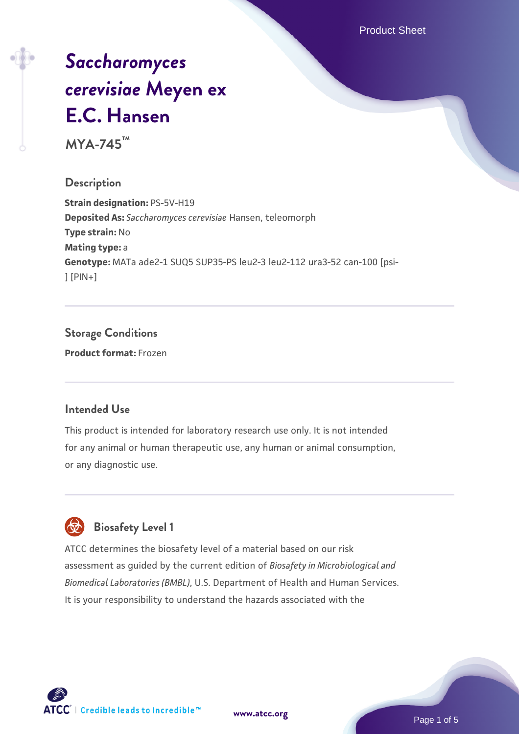Product Sheet

# *[Saccharomyces](https://www.atcc.org/products/mya-745) [cerevisiae](https://www.atcc.org/products/mya-745)* **[Meyen ex](https://www.atcc.org/products/mya-745) [E.C. Hansen](https://www.atcc.org/products/mya-745)**

**MYA-745™**

## **Description**

**Strain designation:** PS-5V-H19 **Deposited As:** *Saccharomyces cerevisiae* Hansen, teleomorph **Type strain:** No **Mating type:** a **Genotype:** MATa ade2-1 SUQ5 SUP35-PS leu2-3 leu2-112 ura3-52 can-100 [psi- ] [PIN+]

# **Storage Conditions**

**Product format:** Frozen

#### **Intended Use**

This product is intended for laboratory research use only. It is not intended for any animal or human therapeutic use, any human or animal consumption, or any diagnostic use.



# **Biosafety Level 1**

ATCC determines the biosafety level of a material based on our risk assessment as guided by the current edition of *Biosafety in Microbiological and Biomedical Laboratories (BMBL)*, U.S. Department of Health and Human Services. It is your responsibility to understand the hazards associated with the

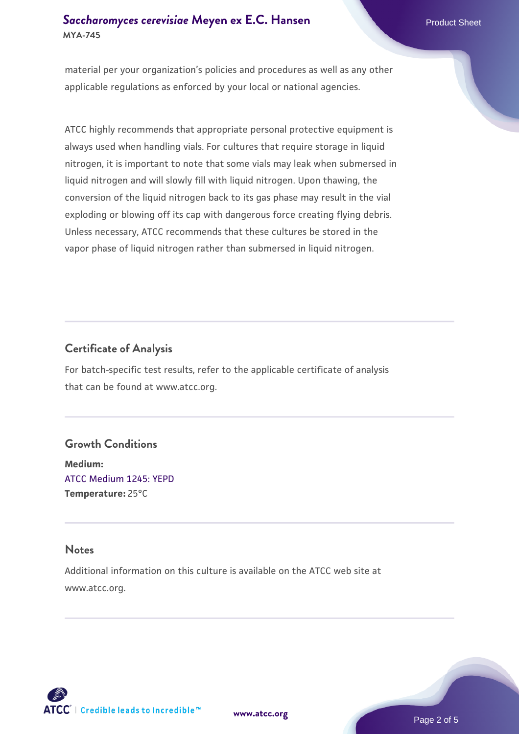material per your organization's policies and procedures as well as any other applicable regulations as enforced by your local or national agencies.

ATCC highly recommends that appropriate personal protective equipment is always used when handling vials. For cultures that require storage in liquid nitrogen, it is important to note that some vials may leak when submersed in liquid nitrogen and will slowly fill with liquid nitrogen. Upon thawing, the conversion of the liquid nitrogen back to its gas phase may result in the vial exploding or blowing off its cap with dangerous force creating flying debris. Unless necessary, ATCC recommends that these cultures be stored in the vapor phase of liquid nitrogen rather than submersed in liquid nitrogen.

## **Certificate of Analysis**

For batch-specific test results, refer to the applicable certificate of analysis that can be found at www.atcc.org.

#### **Growth Conditions**

**Medium:**  [ATCC Medium 1245: YEPD](https://www.atcc.org/-/media/product-assets/documents/microbial-media-formulations/1/2/4/5/atcc-medium-1245.pdf?rev=705ca55d1b6f490a808a965d5c072196) **Temperature:** 25°C

#### **Notes**

Additional information on this culture is available on the ATCC web site at www.atcc.org.

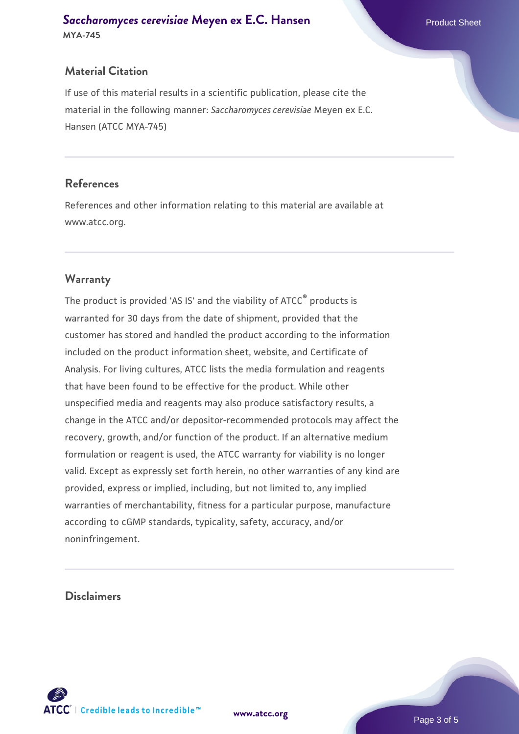#### **Material Citation**

If use of this material results in a scientific publication, please cite the material in the following manner: *Saccharomyces cerevisiae* Meyen ex E.C. Hansen (ATCC MYA-745)

#### **References**

References and other information relating to this material are available at www.atcc.org.

#### **Warranty**

The product is provided 'AS IS' and the viability of ATCC® products is warranted for 30 days from the date of shipment, provided that the customer has stored and handled the product according to the information included on the product information sheet, website, and Certificate of Analysis. For living cultures, ATCC lists the media formulation and reagents that have been found to be effective for the product. While other unspecified media and reagents may also produce satisfactory results, a change in the ATCC and/or depositor-recommended protocols may affect the recovery, growth, and/or function of the product. If an alternative medium formulation or reagent is used, the ATCC warranty for viability is no longer valid. Except as expressly set forth herein, no other warranties of any kind are provided, express or implied, including, but not limited to, any implied warranties of merchantability, fitness for a particular purpose, manufacture according to cGMP standards, typicality, safety, accuracy, and/or noninfringement.

#### **Disclaimers**



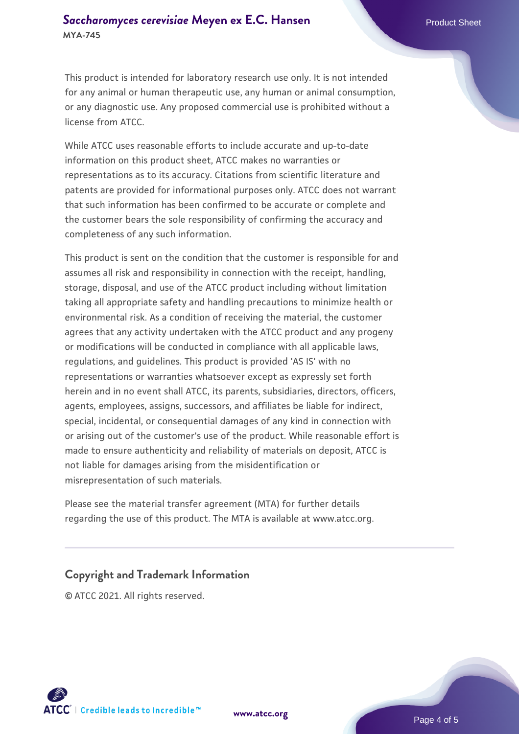This product is intended for laboratory research use only. It is not intended for any animal or human therapeutic use, any human or animal consumption, or any diagnostic use. Any proposed commercial use is prohibited without a license from ATCC.

While ATCC uses reasonable efforts to include accurate and up-to-date information on this product sheet, ATCC makes no warranties or representations as to its accuracy. Citations from scientific literature and patents are provided for informational purposes only. ATCC does not warrant that such information has been confirmed to be accurate or complete and the customer bears the sole responsibility of confirming the accuracy and completeness of any such information.

This product is sent on the condition that the customer is responsible for and assumes all risk and responsibility in connection with the receipt, handling, storage, disposal, and use of the ATCC product including without limitation taking all appropriate safety and handling precautions to minimize health or environmental risk. As a condition of receiving the material, the customer agrees that any activity undertaken with the ATCC product and any progeny or modifications will be conducted in compliance with all applicable laws, regulations, and guidelines. This product is provided 'AS IS' with no representations or warranties whatsoever except as expressly set forth herein and in no event shall ATCC, its parents, subsidiaries, directors, officers, agents, employees, assigns, successors, and affiliates be liable for indirect, special, incidental, or consequential damages of any kind in connection with or arising out of the customer's use of the product. While reasonable effort is made to ensure authenticity and reliability of materials on deposit, ATCC is not liable for damages arising from the misidentification or misrepresentation of such materials.

Please see the material transfer agreement (MTA) for further details regarding the use of this product. The MTA is available at www.atcc.org.

#### **Copyright and Trademark Information**

© ATCC 2021. All rights reserved.